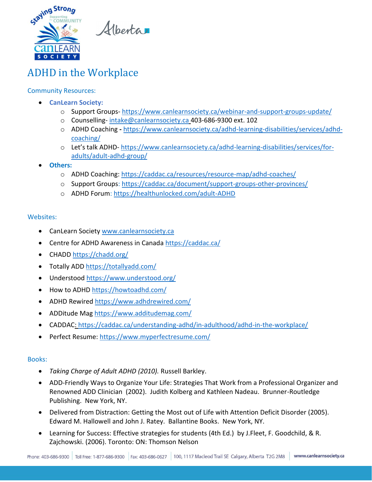

Hberta

# ADHD in the Workplace

## Community Resources:

- **CanLearn Society:**
	- o Support Groups- <https://www.canlearnsociety.ca/webinar-and-support-groups-update/>
	- o Counselling- [intake@canlearnsociety.ca](mailto:intake@canlearnsociety.ca) 403-686-9300 ext. 102
	- o ADHD Coaching **-** [https://www.canlearnsociety.ca/adhd-learning-disabilities/services/adhd](https://www.canlearnsociety.ca/adhd-learning-disabilities/services/adhd-coaching/)[coaching/](https://www.canlearnsociety.ca/adhd-learning-disabilities/services/adhd-coaching/)
	- o Let's talk ADHD- [https://www.canlearnsociety.ca/adhd-learning-disabilities/services/for](https://www.canlearnsociety.ca/adhd-learning-disabilities/services/for-adults/adult-adhd-group/)[adults/adult-adhd-group/](https://www.canlearnsociety.ca/adhd-learning-disabilities/services/for-adults/adult-adhd-group/)
- **Others:**
	- o ADHD Coaching: <https://caddac.ca/resources/resource-map/adhd-coaches/>
	- o Support Groups:<https://caddac.ca/document/support-groups-other-provinces/>
	- o ADHD Forum:<https://healthunlocked.com/adult-ADHD>

#### Websites:

- CanLearn Society [www.canlearnsociety.ca](http://www.canlearnsociety.ca/)
- Centre for ADHD Awareness in Canada<https://caddac.ca/>
- CHADD<https://chadd.org/>
- Totally ADD<https://totallyadd.com/>
- Understood<https://www.understood.org/>
- How to ADHD<https://howtoadhd.com/>
- ADHD Rewired<https://www.adhdrewired.com/>
- ADDitude Mag<https://www.additudemag.com/>
- CADDAC[: https://caddac.ca/understanding-adhd/in-adulthood/adhd-in-the-workplace/](https://caddac.ca/understanding-adhd/in-adulthood/adhd-in-the-workplace/)
- Perfect Resume:<https://www.myperfectresume.com/>

### Books:

- *Taking Charge of Adult ADHD (2010).* Russell Barkley.
- ADD-Friendly Ways to Organize Your Life: Strategies That Work from a Professional Organizer and Renowned ADD Clinician (2002). Judith Kolberg and Kathleen Nadeau. Brunner-Routledge Publishing. New York, NY.
- Delivered from Distraction: Getting the Most out of Life with Attention Deficit Disorder (2005). Edward M. Hallowell and John J. Ratey. Ballantine Books. New York, NY.
- Learning for Success: Effective strategies for students (4th Ed.) by J.Fleet, F. Goodchild, & R. Zajchowski. (2006). Toronto: ON: Thomson Nelson